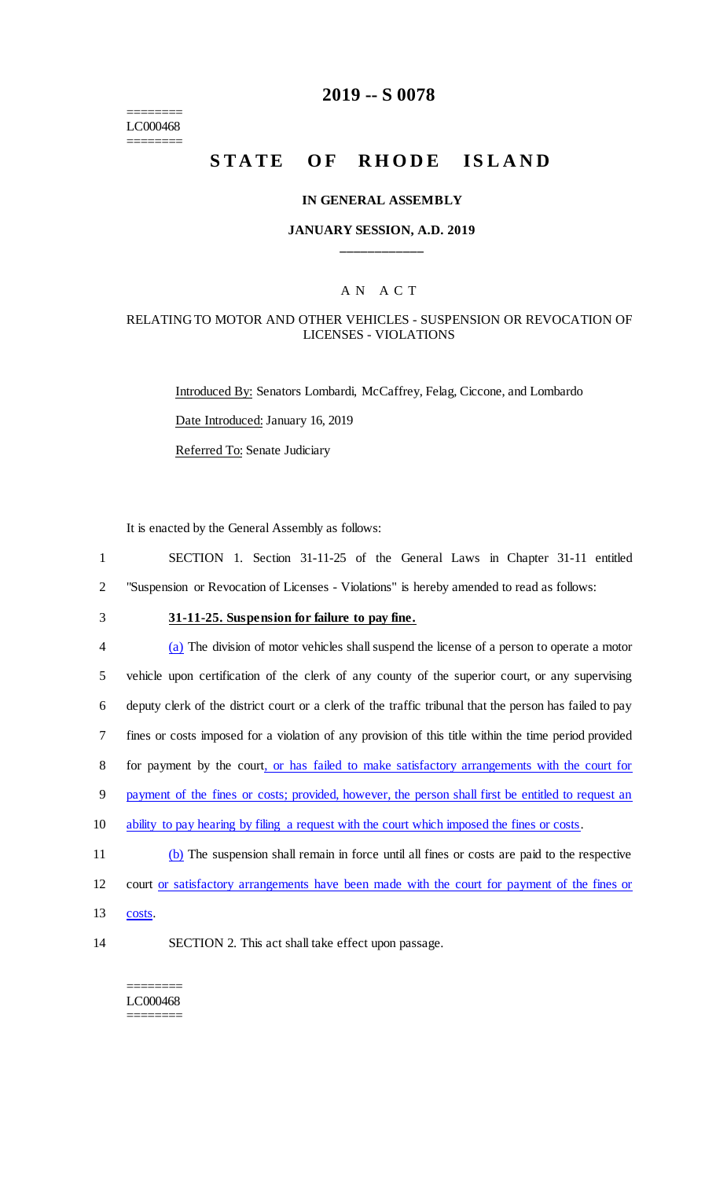$=$ LC000468 ========

## **2019 -- S 0078**

# STATE OF RHODE ISLAND

## **IN GENERAL ASSEMBLY**

## **JANUARY SESSION, A.D. 2019 \_\_\_\_\_\_\_\_\_\_\_\_**

## A N A C T

## RELATING TO MOTOR AND OTHER VEHICLES - SUSPENSION OR REVOCATION OF LICENSES - VIOLATIONS

Introduced By: Senators Lombardi, McCaffrey, Felag, Ciccone, and Lombardo Date Introduced: January 16, 2019 Referred To: Senate Judiciary

It is enacted by the General Assembly as follows:

1 SECTION 1. Section 31-11-25 of the General Laws in Chapter 31-11 entitled 2 "Suspension or Revocation of Licenses - Violations" is hereby amended to read as follows:

## 3 **31-11-25. Suspension for failure to pay fine.**

| $\overline{4}$ | (a) The division of motor vehicles shall suspend the license of a person to operate a motor             |
|----------------|---------------------------------------------------------------------------------------------------------|
| 5              | vehicle upon certification of the clerk of any county of the superior court, or any supervising         |
| 6              | deputy clerk of the district court or a clerk of the traffic tribunal that the person has failed to pay |
| 7              | fines or costs imposed for a violation of any provision of this title within the time period provided   |
| 8              | for payment by the court, or has failed to make satisfactory arrangements with the court for            |
| 9              | payment of the fines or costs; provided, however, the person shall first be entitled to request an      |
| 10             | ability to pay hearing by filing a request with the court which imposed the fines or costs.             |
| 11             | (b) The suspension shall remain in force until all fines or costs are paid to the respective            |
| 12             | court or satisfactory arrangements have been made with the court for payment of the fines or            |
|                |                                                                                                         |

- 13 costs.
- 

14 SECTION 2. This act shall take effect upon passage.

#### ======== LC000468 ========